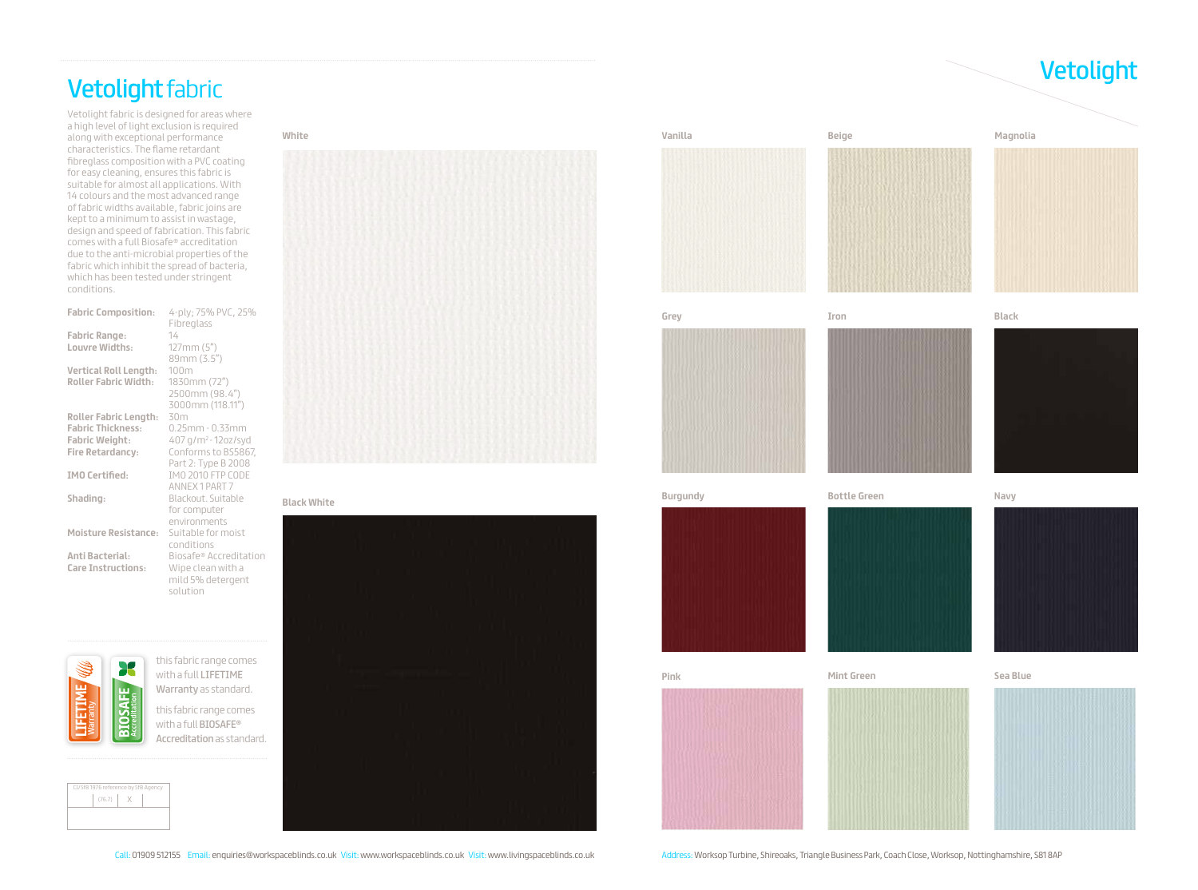# Vetolight Vetolight fabric

Vetolight fabric is designed for areas where a high level of light exclusion is required along with exceptional performance characteristics. The flame retardant fibreglass composition with a PVC coating for easy cleaning, ensures this fabric is suitable for almost all applications. With 14 colours and the most advanced range of fabric widths available, fabric joins are kept to a minimum to assist in wastage, design and speed of fabrication. This fabric comes with a full Biosafe® accreditation due to the anti-microbial properties of the fabric which inhibit the spread of bacteria, which has been tested under stringent conditions.

## **Magnolia**









**Vanilla Beige**







Call: 01909 512155 Email: enquiries@workspaceblinds.co.uk Visit: www.workspaceblinds.co.uk Visit: www.livingspaceblinds.co.uk Visit: www.livingspaceblinds.co.uk Visit: www.livingspaceblinds.co.uk Visit: www.livingspaceblin











### **White**



CI/SfB 1976 reference by SfB Agency  $(76.7)$   $X$ 

 $\overline{\mathbf{36}}$ 

**BIOSAFE** 

## **Black White**



| <b>Fabric Composition:</b>   | 4-ply; 75% PVC, 25%<br>Fibreglass |
|------------------------------|-----------------------------------|
| <b>Fabric Range:</b>         | 14                                |
| Louvre Widths:               | 127mm(5")                         |
|                              | 89mm (3.5")                       |
| Vertical Roll Length:        | 100m                              |
| <b>Roller Fabric Width:</b>  | 1830mm (72")                      |
|                              | 2500mm (98.4")                    |
|                              | 3000mm (118.11")                  |
| <b>Roller Fabric Length:</b> | 30m                               |
| <b>Fabric Thickness:</b>     | $0.25$ mm - $0.33$ mm             |
| <b>Fabric Weight:</b>        | 407 g/m <sup>2</sup> - 12oz/syd   |
| <b>Fire Retardancy:</b>      | Conforms to BS5867,               |
|                              | Part 2: Type B 2008               |
| <b>IMO Certified:</b>        | IMO 2010 FTP CODE                 |
|                              | ANNEX 1 PART 7                    |
| Shading:                     | Blackout. Suitable                |
|                              | for computer                      |
|                              | environments                      |
| <b>Moisture Resistance:</b>  | Suitable for moist                |
|                              | conditions                        |
| <b>Anti Bacterial:</b>       | Biosafe® Accreditation            |
| <b>Care Instructions:</b>    | Wipe clean with a                 |
|                              | mild 5% detergent                 |
|                              | solution                          |

this fabric range comes with a full LIFETIME Warranty as standard. this fabric range comes with a full BIOSAFE® Accreditation as standard.

Warranty

 $\mathbb S$